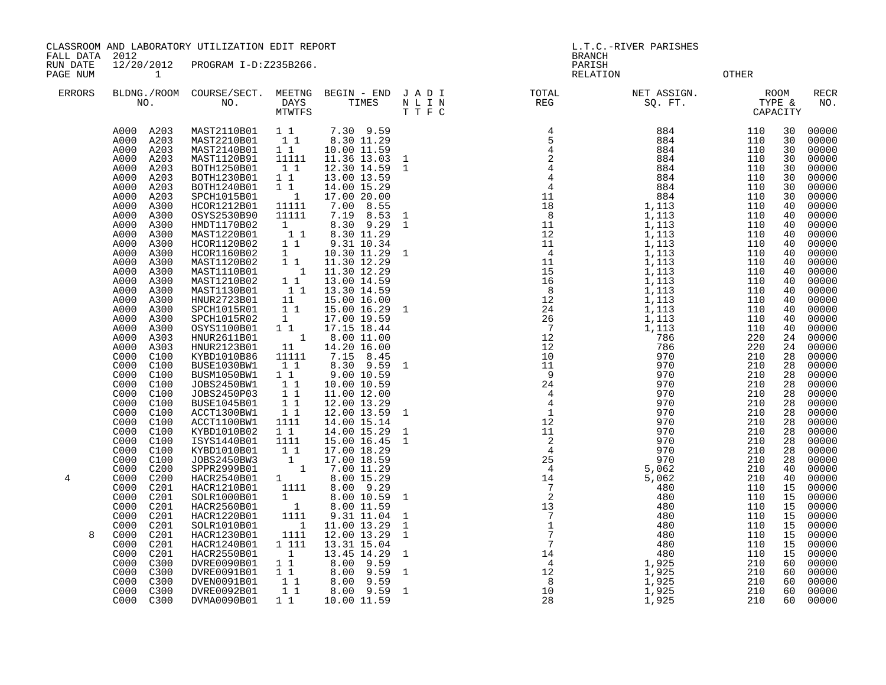FALL DATA 2012 BRANCH

RUN DATE 12/20/2012 PROGRAM I-D:Z235B266. PARISH PAGE NUM 1 RELATION OTHER

| <b>PAGE NUM</b> |                                          |                                 |                                                |                                  |                    | KETHITOM                                                           |       | OIHEK      |          |                    |
|-----------------|------------------------------------------|---------------------------------|------------------------------------------------|----------------------------------|--------------------|--------------------------------------------------------------------|-------|------------|----------|--------------------|
| <b>ERRORS</b>   | NO.                                      | BLDNG./ROOM COURSE/SECT.<br>NO. | DAYS<br><b>MTWTFS</b>                          | MEETNG BEGIN - END JADI<br>TIMES | N L I N<br>T T F C | TOTAL<br>REG<br>TOTAL NET ASSIGN. ROOM REG SQ. FT. TYPE & CAPACITY |       |            |          | <b>RECR</b><br>NO. |
|                 | A000 A203<br>A203<br>A000                | MAST2110B01<br>MAST2210B01      | $1\quad1$<br>11                                | 7.30 9.59<br>8.30 11.29          |                    |                                                                    | 884   | 110<br>110 | 30<br>30 | 00000<br>00000     |
|                 | A000<br>A203<br>A000<br>A203             | MAST2140B01<br>MAST1120B91      | $1\quad1$<br>11111                             | 10.00 11.59<br>11.36 13.03       | $\mathbf{1}$       |                                                                    |       | 110<br>110 | 30<br>30 | 00000<br>00000     |
|                 | A000<br>A203                             | BOTH1250B01                     | 11                                             | 12.30 14.59                      | $\mathbf{1}$       |                                                                    |       | 110        | 30       | 00000              |
|                 | A000<br>A203                             | BOTH1230B01                     | $1\quad1$                                      | 13.00 13.59                      |                    |                                                                    |       | 110        | 30       | 00000              |
|                 | A000<br>A203                             | BOTH1240B01                     | $1\quad1$                                      | 14.00 15.29                      |                    |                                                                    |       | 110        | 30       | 00000              |
|                 | A000<br>A203<br>A300<br>A000             | SPCH1015B01<br>HCOR1212B01      | $\overline{\phantom{a}}$<br>11111              | 17.00 20.00<br>7.00 8.55         |                    |                                                                    |       | 110<br>110 | 30<br>40 | 00000<br>00000     |
|                 | A000<br>A300                             | OSYS2530B90                     | 11111                                          | 7.19 8.53                        | $\mathbf{1}$       |                                                                    |       | 110        | 40       | 00000              |
|                 | A000<br>A300                             | HMDT1170B02                     | 1                                              | 8.30 9.29                        | $\mathbf{1}$       |                                                                    |       | 110        | 40       | 00000              |
|                 | A000<br>A300                             | MAST1220B01                     | 11                                             | 8.30 11.29                       |                    |                                                                    |       | 110        | 40       | 00000              |
|                 | A000<br>A300<br>A000<br>A300             | HCOR1120B02<br>HCOR1160B02      | $1\quad1$<br>1                                 | 9.31 10.34<br>10.30 11.29        | $\mathbf{1}$       |                                                                    |       | 110<br>110 | 40<br>40 | 00000<br>00000     |
|                 | A000<br>A300                             | MAST1120B02                     | 1 1                                            | 11.30 12.29                      |                    |                                                                    |       | 110        | 40       | 00000              |
|                 | A000<br>A300                             | MAST1110B01                     | $\overline{\phantom{a}}$                       | 11.30 12.29                      |                    |                                                                    |       | 110        | 40       | 00000              |
|                 | A000<br>A300                             | MAST1210B02<br>MAST1130B01      | 11<br>11                                       | 13.00 14.59                      |                    |                                                                    |       | 110<br>110 | 40<br>40 | 00000<br>00000     |
|                 | A000<br>A300<br>A000<br>A300             | HNUR2723B01                     | 11                                             | 13.30 14.59<br>15.00 16.00       |                    |                                                                    |       | 110        | 40       | 00000              |
|                 | A300<br>A000                             | SPCH1015R01                     | $1\quad1$                                      | 15.00 16.29                      | $\mathbf{1}$       |                                                                    |       | 110        | 40       | 00000              |
|                 | A000<br>A300                             | SPCH1015R02                     | $\mathbf{1}$                                   | 17.00 19.59                      |                    |                                                                    |       | 110        | 40       | 00000              |
|                 | A000<br>A300<br>A000<br>A303             | OSYS1100B01<br>HNUR2611B01      | 11<br>$\overline{\phantom{a}}$                 | 17.15 18.44<br>8.00 11.00        |                    |                                                                    |       | 110<br>220 | 40<br>24 | 00000<br>00000     |
|                 | A000<br>A303                             | HNUR2123B01                     | 11                                             | 14.20 16.00                      |                    |                                                                    |       | 220        | 24       | 00000              |
|                 | C100<br>C000                             | KYBD1010B86                     | 11111                                          | 7.15 8.45                        |                    |                                                                    |       | 210        | 28       | 00000              |
|                 | C000<br>C100                             | BUSE1030BW1                     | 1 1                                            | 8.30 9.59                        | $\mathbf{1}$       |                                                                    |       | 210        | 28       | 00000              |
|                 | C000<br>C100<br>C100<br>C000             | BUSM1050BW1<br>JOBS2450BW1      | $1\quad1$<br>11                                | 9.00 10.59<br>10.00 10.59        |                    |                                                                    |       | 210<br>210 | 28<br>28 | 00000<br>00000     |
|                 | C000<br>C100                             | JOBS2450P03                     | 1 1                                            | 11.00 12.00                      |                    |                                                                    |       | 210        | 28       | 00000              |
|                 | C000<br>C100                             | <b>BUSE1045B01</b>              | $1\quad1$                                      | 12.00 13.29                      |                    |                                                                    |       | 210        | 28       | 00000              |
|                 | C000<br>C100<br>C000<br>C100             | ACCT1300BW1<br>ACCT1100BW1      | $1\quad1$<br>1111                              | 12.00 13.59<br>14.00 15.14       | $\mathbf{1}$       |                                                                    |       | 210<br>210 | 28<br>28 | 00000<br>00000     |
|                 | C000<br>C100                             | KYBD1010B02                     | $1\quad1$                                      | 14.00 15.29                      | 1                  |                                                                    |       | 210        | 28       | 00000              |
|                 | C000<br>C100                             | ISYS1440B01                     | 1111                                           | 15.00 16.45                      | $\mathbf{1}$       |                                                                    |       | 210        | 28       | 00000              |
|                 | C100<br>C000                             | KYBD1010B01                     | 11                                             | 17.00 18.29                      |                    |                                                                    |       | 210        | 28       | 00000              |
|                 | C000<br>C100<br>C000<br>C <sub>200</sub> | JOBS2450BW3<br>SPPR2999B01      | $\begin{smallmatrix} 1\\ &1 \end{smallmatrix}$ | 17.00 18.59<br>7.00 11.29        |                    |                                                                    |       | 210<br>210 | 28<br>40 | 00000<br>00000     |
| 4               | C000<br>C <sub>200</sub>                 | HACR2540B01                     | $1 \quad \bar{1}$                              | 8.00 15.29                       |                    |                                                                    |       | 210        | 40       | 00000              |
|                 | C000<br>C201                             | HACR1210B01                     | 1111                                           | 8.00 9.29                        |                    |                                                                    |       | 110        | 15       | 00000              |
|                 | C000<br>C <sub>201</sub>                 | SOLR1000B01                     | 1                                              | 8.00 10.59                       | 1                  |                                                                    |       | 110        | 15       | 00000              |
|                 | C000<br>C <sub>201</sub><br>C000<br>C201 | HACR2560B01<br>HACR1220B01      | $\overline{1}$<br>1111                         | 8.00 11.59<br>9.31 11.04         | 1                  |                                                                    |       | 110<br>110 | 15<br>15 | 00000<br>00000     |
|                 | C201<br>C000                             | SOLR1010B01                     | $\overline{\phantom{a}}$                       | 11.00 13.29                      | $\mathbf{1}$       |                                                                    |       | 110        | 15       | 00000              |
| 8               | C <sub>000</sub><br>C <sub>201</sub>     | HACR1230B01                     | 1111                                           | 12.00 13.29                      | $\mathbf{1}$       |                                                                    |       | 110        | 15       | 00000              |
|                 | C000<br>C201<br>C000<br>C201             | HACR1240B01<br>HACR2550B01      | 1 111<br>$\overline{1}$                        | 13.31 15.04<br>13.45 14.29       | $\mathbf{1}$       |                                                                    |       | 110<br>110 | 15<br>15 | 00000<br>00000     |
|                 | C000<br>C300                             | DVRE0090B01                     | $1\quad1$                                      | 8.00 9.59                        |                    |                                                                    |       | 210        | 60       | 00000              |
|                 | C000<br>C300                             | DVRE0091B01                     | 11                                             | 8.00 9.59                        | $\mathbf{1}$       |                                                                    |       | 210        | 60       | 00000              |
|                 | C000<br>C300                             | DVEN0091B01                     | $1\quad1$                                      | 8.00 9.59                        |                    |                                                                    |       | 210        | 60       | 00000              |
|                 | C000<br>C300                             | DVRE0092B01                     | $1\quad1$                                      | 8.00 9.59 1                      |                    |                                                                    | 1,925 | 210        | 60       | 00000              |

C000 C300 DVMA0090B01 1 1 10.00 11.59 28 1,925 210 60 00000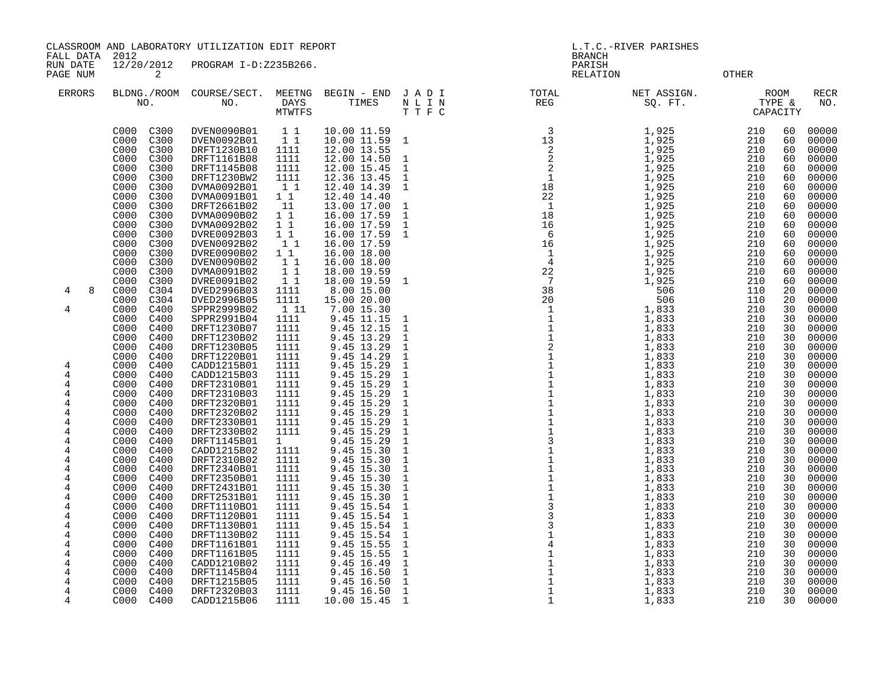FALL DATA 2012 BRANCH

RUN DATE 12/20/2012 PROGRAM I-D:Z235B266.<br>PAGE NUM 2<br>PAGE NUM 2 PAGE NUM 2 CHECK 2 CHECK CONTROL COMMUNICATION RELATION OTHER

| <b>ERRORS</b>  | NO.                          | BLDNG./ROOM COURSE/SECT.<br>NO. | MEETNG<br>DAYS<br><b>MTWTFS</b> | BEGIN - END<br>TIMES       | JADI<br>N L I N<br>T T F C   | TOTAL<br>REG | NET ASSIGN.<br>SQ. FT. | TYPE &<br>CAPACITY | ROOM     | <b>RECR</b><br>NO. |
|----------------|------------------------------|---------------------------------|---------------------------------|----------------------------|------------------------------|--------------|------------------------|--------------------|----------|--------------------|
|                | C000<br>C300<br>C300<br>C000 | DVEN0090B01<br>DVEN0092B01      | $1\quad1$<br>$1\quad1$          | 10.00 11.59<br>10.00 11.59 | $\mathbf{1}$                 |              | 1,925<br>1,925         | 210<br>210         | 60<br>60 | 00000<br>00000     |
|                | C000<br>C300                 | DRFT1230B10                     | 1111                            | 12.00 13.55                |                              |              | 1,925                  | 210                | 60       | 00000              |
|                | C000<br>C300                 | DRFT1161B08                     | 1111                            | 12.00 14.50                | 1                            |              | 1,925                  | 210                | 60       | 00000              |
|                | C300<br>C000                 | DRFT1145B08                     | 1111                            | 12.00 15.45                | 1                            |              | 1,925                  | 210                | 60       | 00000              |
|                | C300<br>C000                 | DRFT1230BW2                     | 1111                            | 12.36 13.45                | $\mathbf{1}$                 |              | 1,925                  | 210                | 60       | 00000              |
|                | C000<br>C300                 | DVMA0092B01                     | 1 1                             | 12.40 14.39                | $\mathbf{1}$                 |              | 1,925                  | 210                | 60       | 00000              |
|                | C300<br>C000                 | DVMA0091B01                     | $1\quad1$                       | 12.40 14.40                |                              |              | 1,925                  | 210                | 60       | 00000              |
|                | C000<br>C300                 | DRFT2661B02                     | 11                              | 13.00 17.00                | 1                            |              | 1,925                  | 210                | 60       | 00000              |
|                | C000<br>C300                 | DVMA0090B02                     | $1\quad1$                       | 16.00 17.59                | $\mathbf{1}$                 |              | 1,925                  | 210                | 60       | 00000              |
|                | C000<br>C300                 | DVMA0092B02                     | $1\quad1$                       | 16.00 17.59                | $\mathbf{1}$                 |              | 1,925                  | 210                | 60       | 00000              |
|                | C000<br>C300                 | DVRE0092B03                     | $1\quad1$                       | 16.00 17.59                | $\mathbf{1}$                 |              | 1,925                  | 210                | 60       | 00000              |
|                | C300<br>C000                 | DVEN0092B02                     | 11                              | 16.00 17.59                |                              |              | 1,925                  | 210                | 60       | 00000              |
|                | C000<br>C300<br>C000         | DVRE0090B02                     | $1\quad1$<br>11                 | 16.00 18.00                |                              |              | 1,925<br>1,925         | 210<br>210         | 60       | 00000<br>00000     |
|                | C300<br>C000<br>C300         | DVEN0090B02<br>DVMA0091B02      | $1\quad1$                       | 16.00 18.00<br>18.00 19.59 |                              |              | 1,925                  | 210                | 60<br>60 | 00000              |
|                | C000<br>C300                 | DVRE0091B02                     | 1 1                             | 18.00 19.59                | 1                            |              | 1,925                  | 210                | 60       | 00000              |
| 8<br>4         | C000<br>C304                 | DVED2996B03                     | 1111                            | 8.00 15.00                 |                              |              | 506                    | 110                | 20       | 00000              |
|                | C000<br>C304                 | DVED2996B05                     | 1111                            | 15.00 20.00                |                              |              | 506                    | 110                | 20       | 00000              |
| $\overline{4}$ | C000<br>C400                 | SPPR2999B02                     | 1 1 1                           | 7.00 15.30                 |                              |              | 1,833                  | 210                | 30       | 00000              |
|                | C000<br>C400                 | SPPR2991B04                     | 1111                            | 9.45 11.15                 | $\mathbf 1$                  |              | 1,833                  | 210                | 30       | 00000              |
|                | C000<br>C400                 | DRFT1230B07                     | 1111                            | 9.45 12.15                 | $\mathbf{1}$                 |              | 1,833                  | 210                | 30       | 00000              |
|                | C000<br>C400                 | DRFT1230B02                     | 1111                            | 9.45 13.29                 | $\mathbf{1}$                 |              | 1,833                  | 210                | 30       | 00000              |
|                | C000<br>C400                 | DRFT1230B05                     | 1111                            | 9.45 13.29                 | $\mathbf{1}$                 |              | 1,833                  | 210                | 30       | 00000              |
|                | C400<br>C000                 | DRFT1220B01                     | 1111                            | 9.45 14.29                 | $\mathbf{1}$                 |              | 1,833                  | 210                | 30       | 00000              |
| 4              | C000<br>C400                 | CADD1215B01                     | 1111                            | 9.45 15.29                 | $\mathbf{1}$                 |              | 1,833                  | 210                | 30       | 00000              |
| 4              | C000<br>C400                 | CADD1215B03                     | 1111                            | 9.45 15.29                 | $\mathbf 1$                  |              | 1,833                  | 210                | 30       | 00000              |
| 4              | C000<br>C400                 | DRFT2310B01                     | 1111                            | 9.45 15.29                 | $\mathbf{1}$                 |              | 1,833                  | 210                | 30       | 00000              |
| 4              | C400<br>C000                 | DRFT2310B03                     | 1111                            | 9.45 15.29                 | $\mathbf{1}$                 |              | 1,833                  | 210                | 30       | 00000              |
| 4              | C000<br>C400                 | DRFT2320B01                     | 1111                            | 9.45 15.29                 | $\mathbf{1}$                 |              | 1,833                  | 210                | 30       | 00000              |
| 4<br>4         | C000<br>C400<br>C000<br>C400 | DRFT2320B02<br>DRFT2330B01      | 1111<br>1111                    | 9.45 15.29<br>9.45 15.29   | $\mathbf{1}$<br>$\mathbf{1}$ |              | 1,833<br>1,833         | 210<br>210         | 30<br>30 | 00000<br>00000     |
| 4              | C000<br>C400                 | DRFT2330B02                     | 1111                            | 9.45 15.29                 | $\mathbf{1}$                 |              | 1,833                  | 210                | 30       | 00000              |
| 4              | C000<br>C400                 | DRFT1145B01                     | $1 \quad$                       | 9.45 15.29                 | $\mathbf{1}$                 |              | 1,833                  | 210                | 30       | 00000              |
| $\overline{4}$ | C000<br>C400                 | CADD1215B02                     | 1111                            | 9.45 15.30                 | $\mathbf{1}$                 |              | 1,833                  | 210                | 30       | 00000              |
| 4              | C400<br>C000                 | DRFT2310B02                     | 1111                            | 9.45 15.30                 | $\mathbf 1$                  |              | 1,833                  | 210                | 30       | 00000              |
| 4              | C000<br>C400                 | DRFT2340B01                     | 1111                            | 9.45 15.30                 | $\mathbf{1}$                 |              | 1,833                  | 210                | 30       | 00000              |
| 4              | C000<br>C400                 | DRFT2350B01                     | 1111                            | 9.45 15.30                 | $\mathbf{1}$                 |              | 1,833                  | 210                | 30       | 00000              |
| 4              | C000<br>C400                 | DRFT2431B01                     | 1111                            | 9.45 15.30                 | $\mathbf{1}$                 |              | 1,833                  | 210                | 30       | 00000              |
| $\overline{4}$ | C000<br>C400                 | DRFT2531B01                     | 1111                            | 9.45 15.30                 | $\mathbf{1}$                 |              | 1,833                  | 210                | 30       | 00000              |
| 4              | C000<br>C400                 | DRFT1110B01                     | 1111                            | 9.45 15.54                 | $\mathbf 1$                  |              | 1,833                  | 210                | 30       | 00000              |
| 4              | C000<br>C400                 | DRFT1120B01                     | 1111                            | 9.45 15.54                 | $\mathbf 1$                  |              | 1,833                  | 210                | 30       | 00000              |
| 4              | C000<br>C400                 | DRFT1130B01                     | 1111                            | 9.45 15.54                 | $\mathbf{1}$                 |              | 1,833                  | 210                | 30       | 00000              |
| 4              | C000<br>C400                 | DRFT1130B02                     | 1111                            | 9.45 15.54                 | $\mathbf 1$                  |              | 1,833                  | 210                | 30       | 00000              |
| 4              | C400<br>C000                 | DRFT1161B01                     | 1111                            | 9.45 15.55                 | $\mathbf{1}$                 |              | 1,833                  | 210                | 30       | 00000              |
| 4              | C000<br>C400                 | DRFT1161B05                     | 1111                            | 9.45 15.55                 | $\mathbf{1}$                 |              | 1,833                  | 210                | 30       | 00000              |
| 4<br>4         | C000<br>C400<br>C000         | CADD1210B02                     | 1111<br>1111                    | 9.45 16.49                 | $\mathbf{1}$                 |              | 1,833                  | 210<br>210         | 30<br>30 | 00000              |
| 4              | C400<br>C400<br>C000         | DRFT1145B04<br>DRFT1215B05      | 1111                            | 9.45 16.50<br>9.45 16.50   | $\mathbf{1}$<br>$\mathbf{1}$ |              | 1,833<br>1,833         | 210                | 30       | 00000<br>00000     |
| 4              | C400<br>C000                 | DRFT2320B03                     | 1111                            | 9.45 16.50                 | $\mathbf{1}$                 |              | 1,833                  | 210                | 30       | 00000              |
| 4              | C000<br>C400                 | CADD1215B06                     | 1111                            | 10.00 15.45                | 1                            |              | 1,833                  | 210                | 30       | 00000              |
|                |                              |                                 |                                 |                            |                              |              |                        |                    |          |                    |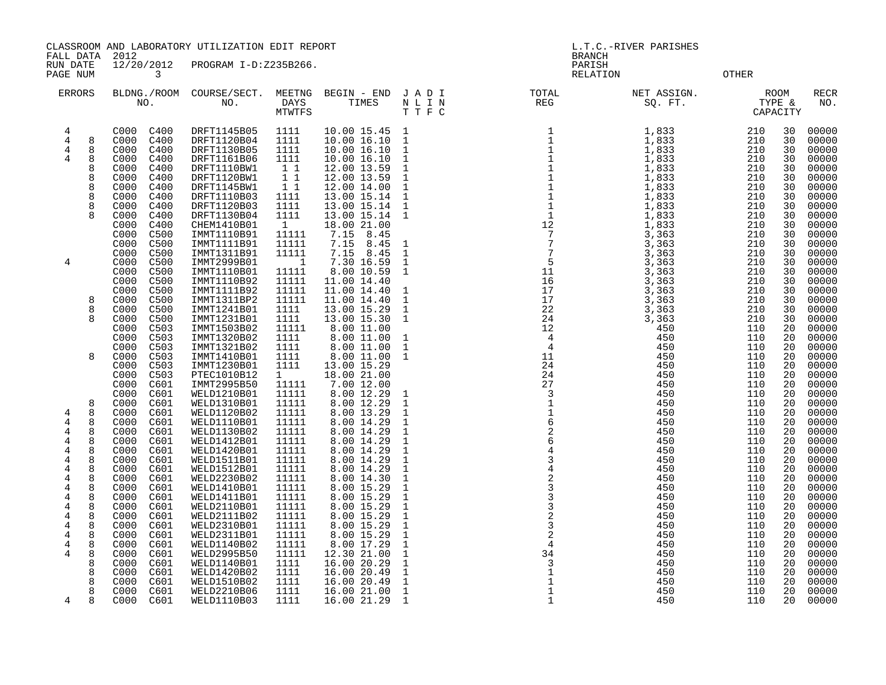FALL DATA 2012 BRANCH

RUN DATE 12/20/2012 PROGRAM I-D:Z235B266.<br>PAGENUM 3 PAGE NUM 3 RELATION OTHER

| <b>ERRORS</b>                                                               |                                           | NO.                                                                                                                                                                                          | BLDNG./ROOM COURSE/SECT.<br>NO.                                                                                                                                                  | MEETNG<br><b>DAYS</b><br><b>MTWTFS</b>                                                                               | BEGIN - END JADI<br>TIMES                                                                                                                                                      | N L I N<br>TTFC                                                                                                                                                | TOTAL<br>REG                                                                                                                                                                                                                                                                                                                                                                                                                                                | NET ASSIGN.<br>SQ. FT.                                                                                   | ROOM<br>TYPE &<br>CAPACITY                                                                                                                               | RECR<br>NO.                                                                                              |
|-----------------------------------------------------------------------------|-------------------------------------------|----------------------------------------------------------------------------------------------------------------------------------------------------------------------------------------------|----------------------------------------------------------------------------------------------------------------------------------------------------------------------------------|----------------------------------------------------------------------------------------------------------------------|--------------------------------------------------------------------------------------------------------------------------------------------------------------------------------|----------------------------------------------------------------------------------------------------------------------------------------------------------------|-------------------------------------------------------------------------------------------------------------------------------------------------------------------------------------------------------------------------------------------------------------------------------------------------------------------------------------------------------------------------------------------------------------------------------------------------------------|----------------------------------------------------------------------------------------------------------|----------------------------------------------------------------------------------------------------------------------------------------------------------|----------------------------------------------------------------------------------------------------------|
| $\overline{4}$<br>$\overline{4}$<br>4<br>4                                  | 8<br>8<br>8<br>8<br>8<br>8<br>8<br>8<br>8 | C400<br>C000<br>C400<br>C000<br>C000<br>C400<br>C400<br>C000<br>C400<br>C000<br>C000<br>C400<br>C400<br>C000<br>C400<br>C000<br>C000<br>C400<br>C400<br>C000<br>C400<br>C000<br>C000<br>C500 | DRFT1145B05<br>DRFT1120B04<br>DRFT1130B05<br>DRFT1161B06<br>DRFT1110BW1<br>DRFT1120BW1<br>DRFT1145BW1<br>DRFT1110B03<br>DRFT1120B03<br>DRFT1130B04<br>CHEM1410B01<br>IMMT1110B91 | 1111<br>1111<br>1111<br>1111<br>$1\quad1$<br>$1\quad1$<br>$1\quad1$<br>1111<br>1111<br>1111<br>$\mathbf{1}$<br>11111 | 10.00 15.45<br>10.00 16.10<br>10.00 16.10<br>10.00 16.10<br>12.00 13.59<br>12.00 13.59<br>12.00 14.00<br>13.00 15.14<br>13.00 15.14<br>13.00 15.14<br>18.00 21.00<br>7.15 8.45 | $\overline{1}$<br>$\mathbf{1}$<br>$\mathbf{1}$<br>$\mathbf{1}$<br>$\mathbf{1}$<br>$\mathbf{1}$<br>$\mathbf{1}$<br>$\mathbf{1}$<br>$\mathbf{1}$<br>$\mathbf{1}$ | $\begin{array}{l} \text{I} \text{P} \\ \text{R} \\ \text{I} \\ \text{I} \\ \text{I} \\ \text{I} \\ \text{I} \\ \text{I} \\ \text{I} \\ \text{I} \\ \text{I} \\ \text{I} \\ \text{I} \\ \text{I} \\ \text{I} \\ \text{I} \\ \text{I} \\ \text{I} \\ \text{I} \\ \text{I} \\ \text{I} \\ \text{I} \\ \text{I} \\ \text{I} \\ \text{I} \\ \text{I} \\ \text{I} \\ \text{I} \\ \text{I} \\ \text{I} \\ \text{I} \\ \text{I} \\ \text{I} \\ \text{I} \\ \text{I$ | 1,833<br>1,833<br>1,833<br>1,833<br>1,833<br>1,833<br>1,833<br>1,833<br>1,833<br>1,833<br>1,833<br>3,363 | 210<br>30<br>210<br>30<br>210<br>30<br>210<br>30<br>210<br>30<br>210<br>30<br>210<br>30<br>30<br>210<br>210<br>30<br>30<br>210<br>210<br>30<br>210<br>30 | 00000<br>00000<br>00000<br>00000<br>00000<br>00000<br>00000<br>00000<br>00000<br>00000<br>00000<br>00000 |
| 4                                                                           |                                           | C500<br>C000<br>C000<br>C500<br>C000<br>C500<br>C000<br>C500<br>C500<br>C000<br>C000<br>C500                                                                                                 | IMMT1111B91<br>IMMT1311B91<br>IMMT2999B01<br>IMMT1110B01<br>IMMT1110B92<br>IMMT1111B92                                                                                           | 11111<br>11111<br>1<br>11111<br>11111<br>11111                                                                       | 7.15<br>8.45<br>8.45<br>7.15<br>7.30 16.59<br>8.00 10.59<br>11.00 14.40<br>11.00 14.40                                                                                         | $\mathbf{1}$<br>$\mathbf{1}$<br>$\mathbf{1}$<br>$\mathbf{1}$<br>$\overline{1}$                                                                                 |                                                                                                                                                                                                                                                                                                                                                                                                                                                             | 3,363<br>3,363<br>3,363<br>3,363<br>3,363<br>3,363                                                       | 30<br>210<br>210<br>30<br>30<br>210<br>210<br>30<br>210<br>30<br>210<br>30                                                                               | 00000<br>00000<br>00000<br>00000<br>00000<br>00000                                                       |
|                                                                             | 8<br>8<br>8                               | C000<br>C500<br>C500<br>C000<br>C000<br>C500<br>C000<br>C503<br>C503<br>C000                                                                                                                 | IMMT1311BP2<br>IMMT1241B01<br>IMMT1231B01<br>IMMT1503B02<br>IMMT1320B02                                                                                                          | 11111<br>1111<br>1111<br>11111<br>1111                                                                               | 11.00 14.40<br>13.00 15.29<br>13.00 15.30<br>8.00 11.00<br>8.00 11.00                                                                                                          | $\overline{1}$<br>$\overline{1}$<br>$\overline{1}$<br>$\overline{\phantom{0}}$                                                                                 |                                                                                                                                                                                                                                                                                                                                                                                                                                                             | 3,363<br>3,363<br>3,363<br>450<br>450                                                                    | 210<br>30<br>210<br>30<br>210<br>30<br>110<br>20<br>110<br>20                                                                                            | 00000<br>00000<br>00000<br>00000<br>00000                                                                |
|                                                                             | 8                                         | C000<br>C503<br>C503<br>C000<br>C000<br>C503<br>C000<br>C503<br>C000<br>C601<br>C000<br>C601                                                                                                 | IMMT1321B02<br>IMMT1410B01<br>IMMT1230B01<br>PTEC1010B12<br>IMMT2995B50<br>WELD1210B01                                                                                           | 1111<br>1111<br>1111<br>$1 \quad$<br>11111<br>11111                                                                  | 8.00 11.00<br>8.00 11.00<br>13.00 15.29<br>18.00 21.00<br>7.00 12.00<br>8.00 12.29                                                                                             | $\mathbf{1}$<br>$\mathbf{1}$<br>$\mathbf{1}$                                                                                                                   |                                                                                                                                                                                                                                                                                                                                                                                                                                                             | 450<br>450<br>450<br>450<br>450<br>450                                                                   | 110<br>20<br>20<br>110<br>110<br>20<br>20<br>110<br>20<br>110<br>110<br>20                                                                               | 00000<br>00000<br>00000<br>00000<br>00000<br>00000                                                       |
| 4<br>4<br>4<br>$\overline{4}$<br>$\overline{4}$<br>4<br>$\overline{4}$<br>4 | 8<br>8<br>8<br>8<br>8<br>8<br>8<br>8<br>8 | C000<br>C601<br>C000<br>C601<br>C601<br>C000<br>C000<br>C601<br>C000<br>C601<br>C000<br>C601<br>C000<br>C601<br>C000<br>C601<br>C601<br>C000                                                 | WELD1310B01<br>WELD1120B02<br>WELD1110B01<br>WELD1130B02<br>WELD1412B01<br>WELD1420B01<br>WELD1511B01<br>WELD1512B01<br>WELD2230B02                                              | 11111<br>11111<br>11111<br>11111<br>11111<br>11111<br>11111<br>11111<br>11111                                        | 8.00 12.29<br>8.00 13.29<br>8.00 14.29<br>8.00 14.29<br>8.00 14.29<br>8.00 14.29<br>8.00 14.29<br>8.00 14.29<br>8.00 14.30                                                     | $\mathbf{1}$<br>$\mathbf{1}$<br>$\mathbf{1}$<br>$\mathbf{1}$<br>$\mathbf{1}$<br>$\mathbf{1}$<br>$\mathbf{1}$<br>$\mathbf{1}$<br>$\mathbf{1}$                   |                                                                                                                                                                                                                                                                                                                                                                                                                                                             | 450<br>450<br>450<br>450<br>450<br>450<br>450<br>450<br>450                                              | 110<br>20<br>110<br>20<br>110<br>20<br>110<br>20<br>110<br>20<br>110<br>20<br>110<br>20<br>110<br>20<br>110<br>20                                        | 00000<br>00000<br>00000<br>00000<br>00000<br>00000<br>00000<br>00000<br>00000                            |
| 4<br>4<br>4<br>4<br>4<br>4<br>4<br>4                                        | 8<br>8<br>8<br>8<br>8<br>8<br>8<br>8<br>8 | C000<br>C601<br>C601<br>C000<br>C601<br>C000<br>C000<br>C601<br>C000<br>C601<br>C601<br>C000<br>C000<br>C601<br>C000<br>C601<br>C000<br>C601                                                 | WELD1410B01<br>WELD1411B01<br>WELD2110B01<br>WELD2111B02<br>WELD2310B01<br>WELD2311B01<br>WELD1140B02<br>WELD2995B50<br>WELD1140B01                                              | 11111<br>11111<br>11111<br>11111<br>11111<br>11111<br>11111<br>11111<br>1111                                         | 8.00 15.29<br>8.00 15.29<br>8.00 15.29<br>8.00 15.29<br>8.00 15.29<br>8.00 15.29<br>8.00 17.29<br>12.30 21.00<br>16.00 20.29                                                   | $\mathbf{1}$<br>$\mathbf 1$<br>$\mathbf{1}$<br>$\mathbf{1}$<br>$\mathbf{1}$<br>$1\,$<br>$1\,$<br>$\mathbf{1}$<br>$\mathbf{1}$                                  |                                                                                                                                                                                                                                                                                                                                                                                                                                                             | 450<br>450<br>450<br>450<br>450<br>450<br>450<br>450<br>450                                              | 110<br>20<br>20<br>110<br>110<br>20<br>20<br>110<br>110<br>20<br>110<br>20<br>20<br>110<br>110<br>20<br>110<br>20                                        | 00000<br>00000<br>00000<br>00000<br>00000<br>00000<br>00000<br>00000<br>00000                            |
| 4                                                                           | 8<br>8<br>8<br>$\mathsf{R}$               | C000<br>C601<br>C000<br>C601<br>C601<br>C000<br>C000<br>C601                                                                                                                                 | WELD1420B02<br>WELD1510B02<br>WELD2210B06<br>WELD1110B03                                                                                                                         | 1111<br>1111<br>1111<br>1111                                                                                         | 16.00 20.49<br>16.00 20.49<br>16.00 21.00<br>16.00 21.29                                                                                                                       | $\mathbf{1}$<br>$\mathbf{1}$<br>$\mathbf{1}$<br>$\mathbf{1}$                                                                                                   | $\mathbf{1}$                                                                                                                                                                                                                                                                                                                                                                                                                                                | 450<br>450<br>450<br>450                                                                                 | 20<br>110<br>110<br>20<br>110<br>20<br>20<br>110                                                                                                         | 00000<br>00000<br>00000<br>00000                                                                         |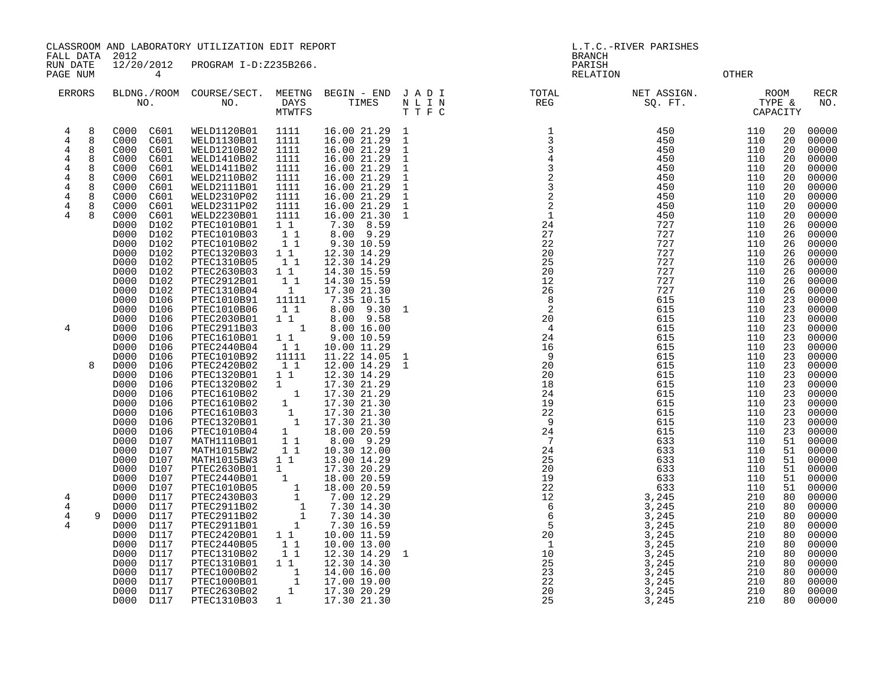FALL DATA 2012 BRANCH RUN DATE 12/20/2012 PROGRAM I-D:Z235B266.

PAGE NUM 4 CHOSEN CONTROL CONTROL CONTROL CONTROL CONTROL CONTROL CONTROL CONTROL CONTROL CONTROL CONTROL CONTROL

| <b>ERRORS</b>  |              | NO.          |              | BLDNG./ROOM COURSE/SECT.<br>NO. | MEETNG<br>DAYS<br><b>MTWTFS</b> | BEGIN - END<br>TIMES         | JADI<br>N L I N<br>TTFC | TOTAL<br>$\mathop{\mathrm{REG}}$ | NET ASSIGN.<br>SQ. FT. |            | <b>ROOM</b><br>TYPE &<br>CAPACITY | RECR<br>NO.    |
|----------------|--------------|--------------|--------------|---------------------------------|---------------------------------|------------------------------|-------------------------|----------------------------------|------------------------|------------|-----------------------------------|----------------|
| 4<br>4         | 8<br>8       | C000<br>C000 | C601<br>C601 | WELD1120B01<br>WELD1130B01      | 1111<br>1111                    | 16.00 21.29 1<br>16.00 21.29 | 1                       |                                  | 450<br>450             | 110<br>110 | 20<br>20                          | 00000<br>00000 |
| $\overline{4}$ | 8            | C000         | C601         | WELD1210B02                     | 1111                            | 16.00 21.29                  | $\mathbf{1}$            |                                  | 450                    | 110        | 20                                | 00000          |
| $\overline{4}$ | 8            | C000         | C601         | WELD1410B02                     | 1111                            | 16.00 21.29                  | <sup>1</sup>            |                                  | 450                    | 110        | 20                                | 00000          |
| 4              | 8            | C000         | C601         | WELD1411B02                     | 1111                            | 16.00 21.29                  | $\mathbf{1}$            |                                  | 450                    | 110        | 20                                | 00000          |
| 4              | 8            | C000         | C601         | WELD2110B02                     | 1111                            | 16.00 21.29                  | $\mathbf{1}$            |                                  | 450                    | 110        | 20                                | 00000          |
| 4              | 8            | C000         | C601         | WELD2111B01                     | 1111                            | 16.00 21.29                  | $\mathbf{1}$            |                                  | 450                    | 110        | 20                                | 00000          |
| 4              | 8            | C000         | C601         | WELD2310P02                     | 1111                            | 16.00 21.29                  | $\mathbf{1}$            |                                  | 450                    | 110        | 20                                | 00000          |
| 4              |              | C000         | C601         | WELD2311P02                     | 1111                            | 16.00 21.29                  | $\mathbf{1}$            |                                  | 450                    | 110        | 20                                | 00000          |
| 4              | $\mathsf{R}$ | C000         | C601         | WELD2230B01                     | 1111                            | 16.00 21.30                  | <sup>1</sup>            |                                  | 450                    | 110        | 20                                | 00000          |
|                |              | D000         | D102         | PTEC1010B01                     | $1\quad1$                       | 8.59<br>7.30                 |                         |                                  | 727                    | 110        | 26                                | 00000          |
|                |              | D000         | D102         | PTEC1010B03                     | 11                              | 8.00 9.29                    |                         |                                  | 727                    | 110        | 26                                | 00000          |
|                |              | D000         | D102         | PTEC1010B02                     | $1\quad1$                       | 9.30 10.59                   |                         |                                  | 727                    | 110        | 26                                | 00000          |
|                |              | D000         | D102         | PTEC1320B03                     | $1\quad1$                       | 12.30 14.29                  |                         |                                  | 727                    | 110        | 26                                | 00000          |
|                |              | D000         | D102         | <b>PTEC1310B05</b>              | 11                              | 12.30 14.29                  |                         |                                  | 727                    | 110        | 26                                | 00000          |
|                |              | D000<br>D000 | D102<br>D102 | PTEC2630B03<br>PTEC2912B01      | 11<br>$1\quad1$                 | 14.30 15.59<br>14.30 15.59   |                         |                                  | 727<br>727             | 110<br>110 | 26<br>26                          | 00000<br>00000 |
|                |              | D000         | D102         | <b>PTEC1310B04</b>              | $\overline{1}$                  | 17.30 21.30                  |                         |                                  | 727                    | 110        | 26                                | 00000          |
|                |              | D000         | D106         | PTEC1010B91                     | 11111                           | 7.35 10.15                   |                         |                                  | 615                    | 110        | 23                                | 00000          |
|                |              | D000         | D106         | PTEC1010B06                     | 11                              | $8.00$ $9.30$                | 1                       |                                  | 615                    | 110        | 23                                | 00000          |
|                |              | D000         | D106         | PTEC2030B01                     | 11                              | 8.00 9.58                    |                         |                                  | 615                    | 110        | 23                                | 00000          |
| 4              |              | D000         | D106         | PTEC2911B03                     | 1                               | 8.00 16.00                   |                         |                                  | 615                    | 110        | 23                                | 00000          |
|                |              | D000         | D106         | PTEC1610B01                     | $1\quad1$                       | 9.00 10.59                   |                         |                                  | 615                    | 110        | 23                                | 00000          |
|                |              | D000         | D106         | PTEC2440B04                     | 1 1                             | 10.00 11.29                  |                         |                                  | 615                    | 110        | 23                                | 00000          |
|                |              | D000         | D106         | PTEC1010B92                     | 11111                           | 11.22 14.05                  | $\mathbf{1}$            |                                  | 615                    | 110        | 23                                | 00000          |
|                | $\mathsf{R}$ | D000         | D106         | PTEC2420B02                     | 1 1                             | 12.00 14.29                  | $\mathbf{1}$            |                                  | 615                    | 110        | 23                                | 00000          |
|                |              | D000         | D106         | PTEC1320B01                     | $1\quad1$                       | 12.30 14.29                  |                         |                                  | 615                    | 110        | 23                                | 00000          |
|                |              | D000         | D106         | PTEC1320B02                     | $1 \quad$                       | 17.30 21.29                  |                         |                                  | 615                    | 110<br>110 | 23                                | 00000          |
|                |              | D000<br>D000 | D106<br>D106 | PTEC1610B02<br>PTEC1610B02      | $\mathbf{1}$<br>1               | 17.30 21.29<br>17.30 21.30   |                         |                                  | 615<br>615             | 110        | 23<br>23                          | 00000<br>00000 |
|                |              | D000         | D106         | PTEC1610B03                     | $\overline{1}$                  | 17.30 21.30                  |                         |                                  | 615                    | 110        | 23                                | 00000          |
|                |              | D000         | D106         | PTEC1320B01                     | $\qquad \quad \, 1$             | 17.30 21.30                  |                         |                                  | 615                    | 110        | 23                                | 00000          |
|                |              | D000         | D106         | PTEC1010B04                     | 1                               | 18.00 20.59                  |                         |                                  | 615                    | 110        | 23                                | 00000          |
|                |              | D000         | D107         | MATH1110B01                     | 11                              | 8.00 9.29                    |                         |                                  | 633                    | 110        | 51                                | 00000          |
|                |              | D000         | D107         | MATH1015BW2                     | $1\quad1$                       | 10.30 12.00                  |                         |                                  | 633                    | 110        | 51                                | 00000          |
|                |              | D000         | D107         | MATH1015BW3                     | 11                              | 13.00 14.29                  |                         |                                  | 633                    | 110        | 51                                | 00000          |
|                |              | D000         | D107         | PTEC2630B01                     | $1 \quad$                       | 17.30 20.29                  |                         |                                  | 633                    | 110        | 51                                | 00000          |
|                |              | D000         | D107         | PTEC2440B01                     | 1                               | 18.00 20.59                  |                         |                                  | 633                    | 110        | 51                                | 00000          |
|                |              | D000         | D107         | PTEC1010B05                     | 1                               | 18.00 20.59                  |                         |                                  | 633                    | 110        | 51                                | 00000          |
| 4              |              | D000         | D117         | PTEC2430B03                     | $\mathbf{1}$                    | 7.00 12.29                   |                         |                                  | 3,245                  | 210        | 80                                | 00000          |
| $\overline{4}$ |              | D000         | D117         | PTEC2911B02                     | $\frac{1}{1}$                   | 7.30 14.30                   |                         |                                  | 3,245                  | 210        | 80                                | 00000          |
| $\overline{4}$ | 9            | D000         | D117         | PTEC2911B02                     | $\mathbf{1}$                    | 7.30 14.30                   |                         |                                  | 3,245                  | 210        | 80                                | 00000          |
| 4              |              | D000<br>D000 | D117<br>D117 | PTEC2911B01<br>PTEC2420B01      | 1<br>1 1                        | 7.30 16.59<br>10.00 11.59    |                         |                                  | 3,245<br>3,245         | 210<br>210 | 80<br>80                          | 00000          |
|                |              | D000         | D117         | PTEC2440B05                     | 11                              | 10.00 13.00                  |                         |                                  | 3,245                  | 210        | 80                                | 00000<br>00000 |
|                |              | D000         | D117         | PTEC1310B02                     | $1\quad1$                       | 12.30 14.29                  | 1                       |                                  | 3,245                  | 210        | 80                                | 00000          |
|                |              | D000         | D117         | PTEC1310B01                     | $1\quad1$                       | 12.30 14.30                  |                         |                                  | 3,245                  | 210        | 80                                | 00000          |
|                |              | D000         | D117         | PTEC1000B02                     |                                 | 14.00 16.00                  |                         |                                  | 3,245                  | 210        | 80                                | 00000          |
|                |              | D000         | D117         | PTEC1000B01                     | $\overline{1}$                  | 17.00 19.00                  |                         |                                  | 3,245                  | 210        | 80                                | 00000          |
|                |              | D000         | D117         | PTEC2630B02                     | $\mathbf{1}$                    | 17.30 20.29                  |                         |                                  | 3,245                  | 210        | 80                                | 00000          |
|                |              | D000         | D117         | PTEC1310B03                     | $\mathbf{1}$                    | 17.30 21.30                  |                         | 25                               | 3,245                  | 210        | 80                                | 00000          |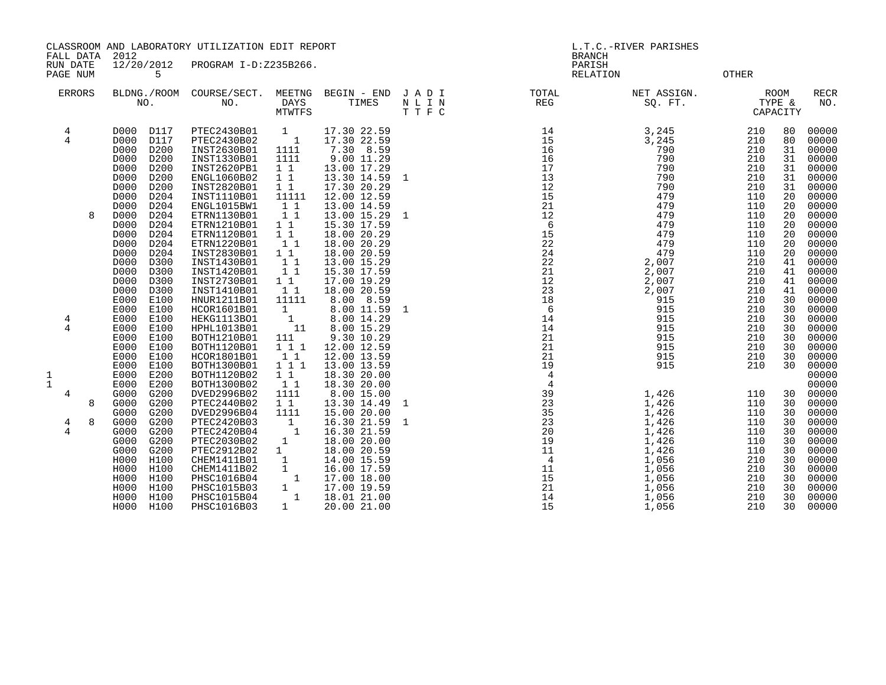FALL DATA 2012 BRANCH

RUN DATE 12/20/2012 PROGRAM I-D:Z235B266.<br>PAGE NUM 5 PAGE NUM 5 CONTROL CONTROL CONTROL CONTROL CONTROL CONTROL CONTROL CONTROL CONTROL CONTROL CONTROL CONTROL CONTROL CONTROL CONTROL CONTROL CONTROL CONTROL CONTROL CONTROL CONTROL CONTROL CONTROL CONTROL CONTROL CONTROL CON

| <b>ERRORS</b>               |              | BLDNG./ROOM<br>NO.                                                                                                                                                                                           | COURSE/SECT.<br>NO.                                                                                                                                                                             | MEETNG<br><b>DAYS</b><br><b>MTWTFS</b>                                                                                                                                                                  | BEGIN - END<br>TIMES                                                                                                                                                                           | JADI<br>N L I N<br>TTFC | TOTAL<br>REG                                                                           | NET ASSIGN.<br>SQ. FT.                                                                                            |                                                                                         | <b>ROOM</b><br>TYPE &<br>CAPACITY                                          | <b>RECR</b><br>NO.                                                                                                |
|-----------------------------|--------------|--------------------------------------------------------------------------------------------------------------------------------------------------------------------------------------------------------------|-------------------------------------------------------------------------------------------------------------------------------------------------------------------------------------------------|---------------------------------------------------------------------------------------------------------------------------------------------------------------------------------------------------------|------------------------------------------------------------------------------------------------------------------------------------------------------------------------------------------------|-------------------------|----------------------------------------------------------------------------------------|-------------------------------------------------------------------------------------------------------------------|-----------------------------------------------------------------------------------------|----------------------------------------------------------------------------|-------------------------------------------------------------------------------------------------------------------|
| 4<br>4                      |              | D000<br>D117<br>D000<br>D117<br>D000<br>D200<br>D200<br>D000<br>D000<br>D200<br>D000<br>D200<br>D200<br>D000<br>D204<br>D000                                                                                 | PTEC2430B01<br>PTEC2430B02<br>INST2630B01<br>INST1330B01<br>INST2620PB1<br>ENGL1060B02<br>INST2820B01<br>INST1110B01                                                                            | $\mathbf{1}$<br>$\overline{\phantom{0}}$ 1<br>1111<br>1111<br>$1\quad1$<br>$1\quad1$<br>$1\quad1$<br>11111                                                                                              | 17.30 22.59<br>17.30 22.59<br>7.30 8.59<br>9.00 11.29<br>13.00 17.29<br>13.30 14.59<br>17.30 20.29<br>12.00 12.59                                                                              | 1                       | $\begin{array}{c} 14 \\ 15 \\ 16 \\ 16 \\ 17 \\ 13 \\ 12 \end{array}$<br>12<br>15      | 3,245<br>3,245<br>790<br>790<br>790<br>790<br>790<br>479                                                          | 210<br>210<br>210<br>210<br>210<br>210<br>210<br>110                                    | 80<br>80<br>31<br>31<br>31<br>31<br>31<br>20                               | 00000<br>00000<br>00000<br>00000<br>00000<br>00000<br>00000<br>00000                                              |
|                             | $\mathsf{R}$ | D204<br>D000<br>D204<br>D000<br>D204<br>D000<br>D000<br>D204<br>D000<br>D204<br>D204<br>D000<br>D000<br>D300<br>D300<br>D000<br>D000<br>D300<br>D000<br>D300<br>E100<br>E000<br>E000<br>E100                 | ENGL1015BW1<br>ETRN1130B01<br>ETRN1210B01<br>ETRN1120B01<br>ETRN1220B01<br>INST2830B01<br>INST1430B01<br>INST1420B01<br>INST2730B01<br>INST1410B01<br>HNUR1211B01                               | $1\quad1$<br>$1\quad1$<br>$1\quad1$<br>$1\quad1$<br>1 1<br>$1\quad1$<br>$1\quad1$<br>$1\quad1$<br>$1\quad1$<br>1 1<br>11111<br>$\mathbf{1}$                                                             | 13.00 14.59<br>13.00 15.29<br>15.30 17.59<br>18.00 20.29<br>18.00 20.29<br>18.00 20.59<br>13.00 15.29<br>15.30 17.59<br>17.00 19.29<br>18.00 20.59<br>8.00 8.59                                | $\mathbf{1}$            | 21<br>12<br>6<br>15<br>22<br>24<br>22<br>21<br>12<br>23<br>18<br>6                     | 479<br>479<br>479<br>479<br>479<br>479<br>2,007<br>2,007<br>2,007<br>2,007<br>915<br>915                          | 110<br>110<br>110<br>110<br>110<br>110<br>210<br>210<br>210<br>210<br>210<br>210        | 20<br>20<br>20<br>20<br>20<br>20<br>41<br>41<br>41<br>41<br>30<br>30       | 00000<br>00000<br>00000<br>00000<br>00000<br>00000<br>00000<br>00000<br>00000<br>00000<br>00000<br>00000          |
| 4<br>4<br>1<br>$\mathbf{1}$ |              | E100<br>E000<br>E000<br>E100<br>E000<br>E100<br>E100<br>E000<br>E000<br>E100<br>E000<br>E100<br>E000<br>E200<br>E200<br>E000                                                                                 | HCOR1601B01<br>HEKG1113B01<br>HPHL1013B01<br>BOTH1210B01<br>BOTH1120B01<br>HCOR1801B01<br>BOTH1300B01<br>BOTH1120B02<br>BOTH1300B02                                                             | $\mathbf{1}$<br>11<br>111<br>1 1 1<br>1 1<br>111<br>$1\quad1$<br>1 1                                                                                                                                    | 8.00 11.59<br>8.00 14.29<br>8.00 15.29<br>9.30 10.29<br>12.00 12.59<br>12.00 13.59<br>13.00 13.59<br>18.30 20.00<br>18.30 20.00                                                                | 1                       | 14<br>14<br>21<br>21<br>21<br>19<br>$\overline{4}$<br>$\overline{4}$                   | 915<br>915<br>915<br>915<br>915<br>915                                                                            | 210<br>210<br>210<br>210<br>210<br>210                                                  | 30<br>30<br>30<br>30<br>30<br>30                                           | 00000<br>00000<br>00000<br>00000<br>00000<br>00000<br>00000<br>00000                                              |
| 4<br>4<br>4                 | 8<br>8       | G000<br>G200<br>G200<br>G000<br>G000<br>G200<br>G000<br>G200<br>G000<br>G200<br>G000<br>G200<br>G000<br>G200<br>H000<br>H100<br>H000<br>H100<br>H000<br>H100<br>H000<br>H100<br>H000<br>H100<br>H100<br>H000 | DVED2996B02<br>PTEC2440B02<br>DVED2996B04<br>PTEC2420B03<br>PTEC2420B04<br>PTEC2030B02<br>PTEC2912B02<br>CHEM1411B01<br>CHEM1411B02<br>PHSC1016B04<br>PHSC1015B03<br>PHSC1015B04<br>PHSC1016B03 | 1111<br>$1\quad1$<br>1111<br>$\mathbb{Z}_1$<br>$\overline{\phantom{0}}$<br>$\mathbf{1}$<br>$\mathbf{1}$<br>$\mathbf{1}$<br>$\mathbf{1}$<br>$\mathbf{1}$<br>$\mathbf{1}$<br>$\mathbf{1}$<br>$\mathbf{1}$ | 8.00 15.00<br>13.30 14.49<br>15.00 20.00<br>16.30 21.59<br>16.30 21.59<br>18.00 20.00<br>18.00 20.59<br>14.00 15.59<br>16.00 17.59<br>17.00 18.00<br>17.00 19.59<br>18.01 21.00<br>20.00 21.00 | 1<br>1                  | 39<br>23<br>35<br>23<br>20<br>19<br>11<br>$\overline{4}$<br>11<br>15<br>21<br>14<br>15 | 1,426<br>1,426<br>1,426<br>1,426<br>1,426<br>1,426<br>1,426<br>1,056<br>1,056<br>1,056<br>1,056<br>1,056<br>1,056 | 110<br>110<br>110<br>110<br>110<br>110<br>110<br>210<br>210<br>210<br>210<br>210<br>210 | 30<br>30<br>30<br>30<br>30<br>30<br>30<br>30<br>30<br>30<br>30<br>30<br>30 | 00000<br>00000<br>00000<br>00000<br>00000<br>00000<br>00000<br>00000<br>00000<br>00000<br>00000<br>00000<br>00000 |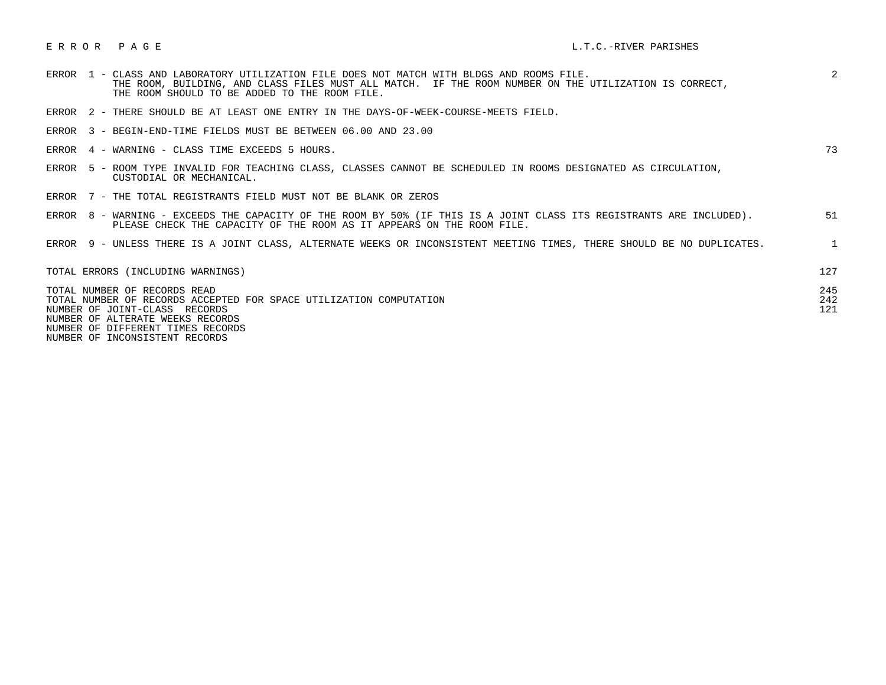|  | ERROR 1 - CLASS AND LABORATORY UTILIZATION FILE DOES NOT MATCH WITH BLDGS AND ROOMS FILE.<br>THE ROOM, BUILDING, AND CLASS FILES MUST ALL MATCH. IF THE ROOM NUMBER ON THE UTILIZATION IS CORRECT,<br>THE ROOM SHOULD TO BE ADDED TO THE ROOM FILE. | 2                 |
|--|-----------------------------------------------------------------------------------------------------------------------------------------------------------------------------------------------------------------------------------------------------|-------------------|
|  | ERROR 2 - THERE SHOULD BE AT LEAST ONE ENTRY IN THE DAYS-OF-WEEK-COURSE-MEETS FIELD.                                                                                                                                                                |                   |
|  | ERROR 3 - BEGIN-END-TIME FIELDS MUST BE BETWEEN 06.00 AND 23.00                                                                                                                                                                                     |                   |
|  | ERROR 4 - WARNING - CLASS TIME EXCEEDS 5 HOURS.                                                                                                                                                                                                     | 73                |
|  | ERROR 5 - ROOM TYPE INVALID FOR TEACHING CLASS, CLASSES CANNOT BE SCHEDULED IN ROOMS DESIGNATED AS CIRCULATION,<br>CUSTODIAL OR MECHANICAL.                                                                                                         |                   |
|  | ERROR 7 - THE TOTAL REGISTRANTS FIELD MUST NOT BE BLANK OR ZEROS                                                                                                                                                                                    |                   |
|  | ERROR 8 - WARNING - EXCEEDS THE CAPACITY OF THE ROOM BY 50% (IF THIS IS A JOINT CLASS ITS REGISTRANTS ARE INCLUDED).<br>PLEASE CHECK THE CAPACITY OF THE ROOM AS IT APPEARS ON THE ROOM FILE.                                                       | 51                |
|  | ERROR 9 - UNLESS THERE IS A JOINT CLASS, ALTERNATE WEEKS OR INCONSISTENT MEETING TIMES, THERE SHOULD BE NO DUPLICATES.                                                                                                                              | $\mathbf{1}$      |
|  | TOTAL ERRORS (INCLUDING WARNINGS)                                                                                                                                                                                                                   | 127               |
|  | TOTAL NUMBER OF RECORDS READ<br>TOTAL NUMBER OF RECORDS ACCEPTED FOR SPACE UTILIZATION COMPUTATION<br>NUMBER OF JOINT-CLASS RECORDS<br>NUMBER OF ALTERATE WEEKS RECORDS                                                                             | 245<br>242<br>121 |

NUMBER OF DIFFERENT TIMES RECORDS

NUMBER OF INCONSISTENT RECORDS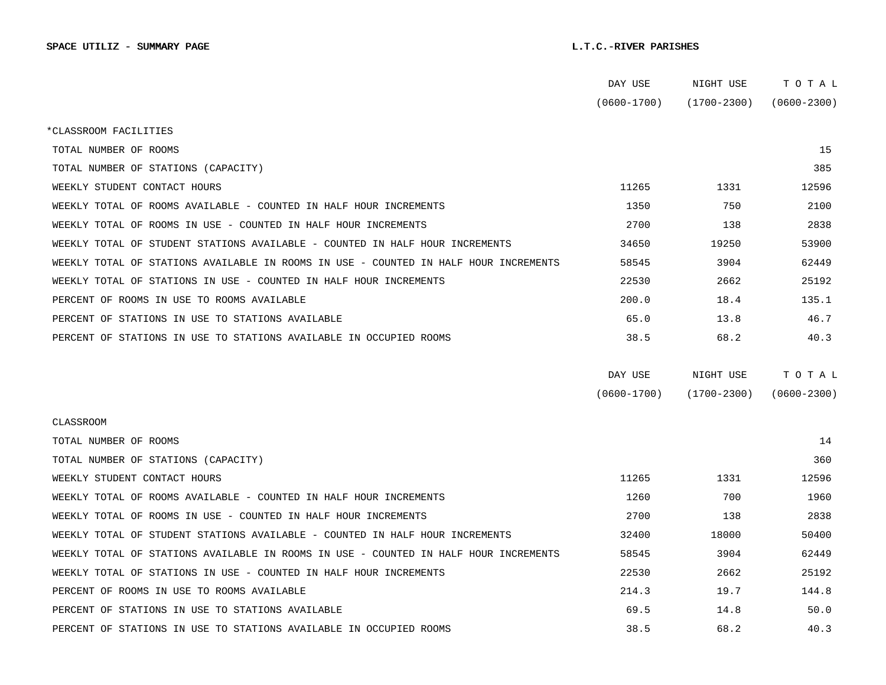|                                                                                      | DAY USE         | NIGHT USE       | TOTAL           |
|--------------------------------------------------------------------------------------|-----------------|-----------------|-----------------|
|                                                                                      | $(0600 - 1700)$ | $(1700 - 2300)$ | $(0600 - 2300)$ |
| *CLASSROOM FACILITIES                                                                |                 |                 |                 |
| TOTAL NUMBER OF ROOMS                                                                |                 |                 | 15              |
| TOTAL NUMBER OF STATIONS (CAPACITY)                                                  |                 |                 | 385             |
| WEEKLY STUDENT CONTACT HOURS                                                         | 11265           | 1331            | 12596           |
| WEEKLY TOTAL OF ROOMS AVAILABLE - COUNTED IN HALF HOUR INCREMENTS                    | 1350            | 750             | 2100            |
| WEEKLY TOTAL OF ROOMS IN USE - COUNTED IN HALF HOUR INCREMENTS                       | 2700            | 138             | 2838            |
| WEEKLY TOTAL OF STUDENT STATIONS AVAILABLE - COUNTED IN HALF HOUR INCREMENTS         | 34650           | 19250           | 53900           |
| WEEKLY TOTAL OF STATIONS AVAILABLE IN ROOMS IN USE - COUNTED IN HALF HOUR INCREMENTS | 58545           | 3904            | 62449           |
| WEEKLY TOTAL OF STATIONS IN USE - COUNTED IN HALF HOUR INCREMENTS                    | 22530           | 2662            | 25192           |
| PERCENT OF ROOMS IN USE TO ROOMS AVAILABLE                                           | 200.0           | 18.4            | 135.1           |
| PERCENT OF STATIONS IN USE TO STATIONS AVAILABLE                                     | 65.0            | 13.8            | 46.7            |
| PERCENT OF STATIONS IN USE TO STATIONS AVAILABLE IN OCCUPIED ROOMS                   | 38.5            | 68.2            | 40.3            |
|                                                                                      |                 |                 |                 |
|                                                                                      |                 |                 |                 |
|                                                                                      | DAY USE         | NIGHT USE       | TOTAL           |
|                                                                                      | $(0600 - 1700)$ | $(1700 - 2300)$ | $(0600 - 2300)$ |
| CLASSROOM                                                                            |                 |                 |                 |
| TOTAL NUMBER OF ROOMS                                                                |                 |                 | 14              |
| TOTAL NUMBER OF STATIONS (CAPACITY)                                                  |                 |                 | 360             |
| WEEKLY STUDENT CONTACT HOURS                                                         | 11265           | 1331            | 12596           |
| WEEKLY TOTAL OF ROOMS AVAILABLE - COUNTED IN HALF HOUR INCREMENTS                    | 1260            | 700             | 1960            |
| WEEKLY TOTAL OF ROOMS IN USE - COUNTED IN HALF HOUR INCREMENTS                       | 2700            | 138             | 2838            |
| WEEKLY TOTAL OF STUDENT STATIONS AVAILABLE - COUNTED IN HALF HOUR INCREMENTS         | 32400           | 18000           | 50400           |
| WEEKLY TOTAL OF STATIONS AVAILABLE IN ROOMS IN USE - COUNTED IN HALF HOUR INCREMENTS | 58545           | 3904            | 62449           |
| WEEKLY TOTAL OF STATIONS IN USE - COUNTED IN HALF HOUR INCREMENTS                    | 22530           | 2662            | 25192           |
| PERCENT OF ROOMS IN USE TO ROOMS AVAILABLE                                           | 214.3           | 19.7            | 144.8           |
| PERCENT OF STATIONS IN USE TO STATIONS AVAILABLE                                     | 69.5            | 14.8            | 50.0            |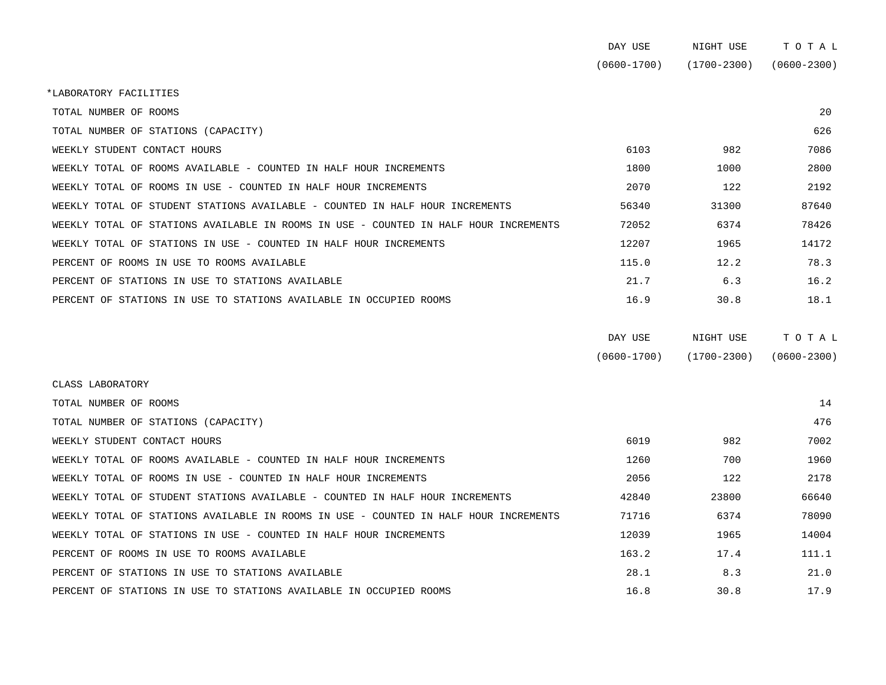| DAY USE         | NIGHT USE       | тотаг           |
|-----------------|-----------------|-----------------|
| $(0600 - 1700)$ | $(1700 - 2300)$ | $(0600 - 2300)$ |

\*LABORATORY FACILITIES

| TOTAL NUMBER OF ROOMS                                                                |       |       | 20    |
|--------------------------------------------------------------------------------------|-------|-------|-------|
| TOTAL NUMBER OF STATIONS (CAPACITY)                                                  |       |       | 626   |
| WEEKLY STUDENT CONTACT HOURS                                                         | 6103  | 982   | 7086  |
| WEEKLY TOTAL OF ROOMS AVAILABLE - COUNTED IN HALF HOUR INCREMENTS                    | 1800  | 1000  | 2800  |
| WEEKLY TOTAL OF ROOMS IN USE - COUNTED IN HALF HOUR INCREMENTS                       | 2070  | 122   | 2192  |
| WEEKLY TOTAL OF STUDENT STATIONS AVAILABLE - COUNTED IN HALF HOUR INCREMENTS         | 56340 | 31300 | 87640 |
| WEEKLY TOTAL OF STATIONS AVAILABLE IN ROOMS IN USE - COUNTED IN HALF HOUR INCREMENTS | 72052 | 6374  | 78426 |
| WEEKLY TOTAL OF STATIONS IN USE - COUNTED IN HALF HOUR INCREMENTS                    | 12207 | 1965  | 14172 |
| PERCENT OF ROOMS IN USE TO ROOMS AVAILABLE                                           | 115.0 | 12.2  | 78.3  |
| PERCENT OF STATIONS IN USE TO STATIONS AVAILABLE                                     | 21.7  | 6.3   | 16.2  |
| PERCENT OF STATIONS IN USE TO STATIONS AVAILABLE IN OCCUPIED ROOMS                   | 16.9  | 30.8  | 18.1  |

| DAY USE         | NIGHT USE       | тотаь           |
|-----------------|-----------------|-----------------|
| $(0600 - 1700)$ | $(1700 - 2300)$ | $(0600 - 2300)$ |

| CLASS LABORATORY                                                                     |       |       |       |
|--------------------------------------------------------------------------------------|-------|-------|-------|
| TOTAL NUMBER OF ROOMS                                                                |       |       | 14    |
| TOTAL NUMBER OF STATIONS (CAPACITY)                                                  |       |       | 476   |
| WEEKLY STUDENT CONTACT HOURS                                                         | 6019  | 982   | 7002  |
| WEEKLY TOTAL OF ROOMS AVAILABLE - COUNTED IN HALF HOUR INCREMENTS                    | 1260  | 700   | 1960  |
| WEEKLY TOTAL OF ROOMS IN USE - COUNTED IN HALF HOUR INCREMENTS                       | 2056  | 122   | 2178  |
| WEEKLY TOTAL OF STUDENT STATIONS AVAILABLE - COUNTED IN HALF HOUR INCREMENTS         | 42840 | 23800 | 66640 |
| WEEKLY TOTAL OF STATIONS AVAILABLE IN ROOMS IN USE - COUNTED IN HALF HOUR INCREMENTS | 71716 | 6374  | 78090 |
| WEEKLY TOTAL OF STATIONS IN USE - COUNTED IN HALF HOUR INCREMENTS                    | 12039 | 1965  | 14004 |
| PERCENT OF ROOMS IN USE TO ROOMS AVAILABLE                                           | 163.2 | 17.4  | 111.1 |
| PERCENT OF STATIONS IN USE TO STATIONS AVAILABLE                                     | 28.1  | 8.3   | 21.0  |
| PERCENT OF STATIONS IN USE TO STATIONS AVAILABLE IN OCCUPIED ROOMS                   | 16.8  | 30.8  | 17.9  |